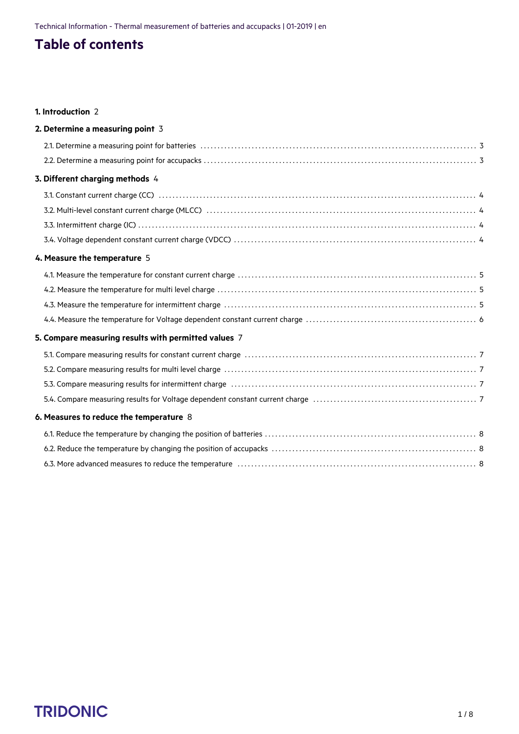## **Table of contents**

#### **1. [Introduction](#page-1-0)** 2

| 2. Determine a measuring point 3                     |  |
|------------------------------------------------------|--|
|                                                      |  |
|                                                      |  |
| 3. Different charging methods 4                      |  |
|                                                      |  |
|                                                      |  |
|                                                      |  |
|                                                      |  |
| 4. Measure the temperature 5                         |  |
|                                                      |  |
|                                                      |  |
|                                                      |  |
|                                                      |  |
| 5. Compare measuring results with permitted values 7 |  |
|                                                      |  |
|                                                      |  |
|                                                      |  |
|                                                      |  |
| 6. Measures to reduce the temperature 8              |  |
|                                                      |  |
|                                                      |  |
|                                                      |  |

# $\begin{array}{ccc}\n\textbf{TRIDONIC} & & & & & & \\
\textbf{TRIDONIC} & & & & & & & \\
\end{array}$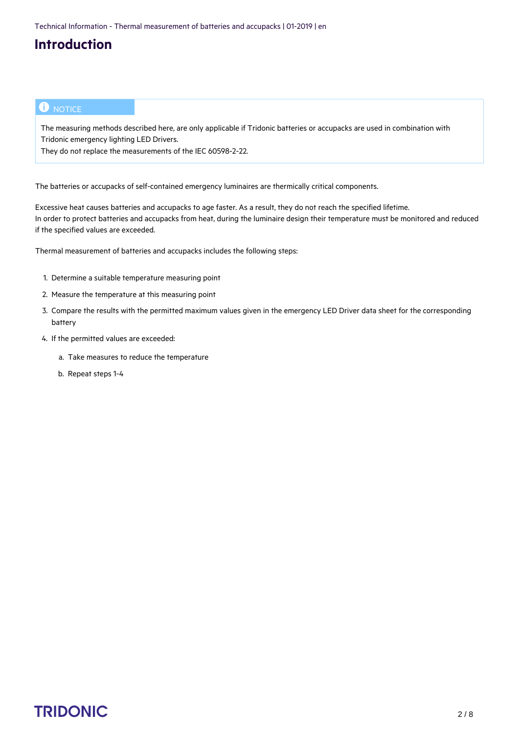## **Introduction**

#### $\bullet$  NOTICE

The measuring methods described here, are only applicable if Tridonic batteries or accupacks are used in combination with Tridonic emergency lighting LED Drivers.

They do not replace the measurements of the IEC 60598-2-22.

<span id="page-1-0"></span>The batteries or accupacks of self-contained emergency luminaires are thermically critical components.

Excessive heat causes batteries and accupacks to age faster. As a result, they do not reach the specified lifetime. In order to protect batteries and accupacks from heat, during the luminaire design their temperature must be monitored and reduced if the specified values are exceeded.

Thermal measurement of batteries and accupacks includes the following steps:

- 1. Determine a suitable temperature measuring point
- 2. Measure the temperature at this measuring point
- 3. Compare the results with the permitted maximum values given in the emergency LED Driver data sheet for the corresponding battery
- 4. If the permitted values are exceeded:
	- a. Take measures to reduce the temperature
	- b. Repeat steps 1-4

# c 2 / 8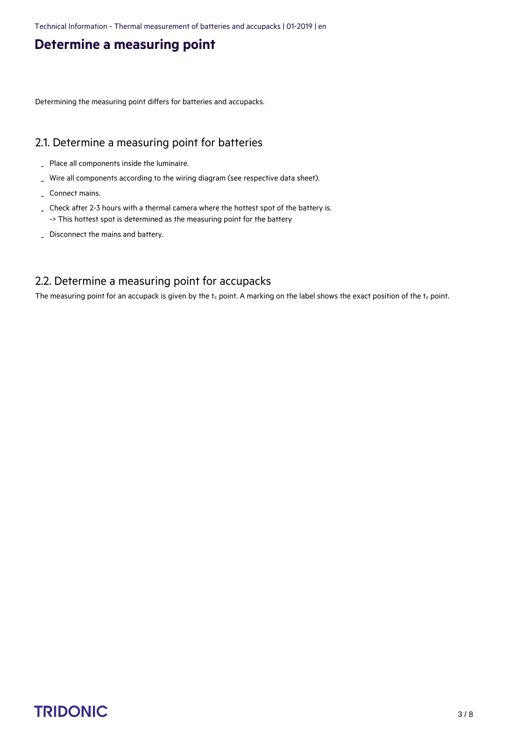## **Determine a measuring point**

<span id="page-2-0"></span>Determining the measuring point differs for batteries and accupacks.

#### <span id="page-2-1"></span>2.1. Determine a measuring point for batteries

- \_ Place all components inside the luminaire.
- \_ Wire all components according to the wiring diagram (see respective data sheet).
- \_ Connect mains.
- Check after 2-3 hours with a thermal camera where the hottest spot of the battery is. \_ -> This hottest spot is determined as the measuring point for the battery
- \_ Disconnect the mains and battery.

#### <span id="page-2-2"></span>2.2. Determine a measuring point for accupacks

The measuring point for an accupack is given by the  $t_c$  point. A marking on the label shows the exact position of the  $t_c$  point.

# $\begin{array}{ccc}\n\textbf{TRIDONIC} & & & & & & & \\
\textbf{TRIDONIC} & & & & & & & & \\
\end{array}$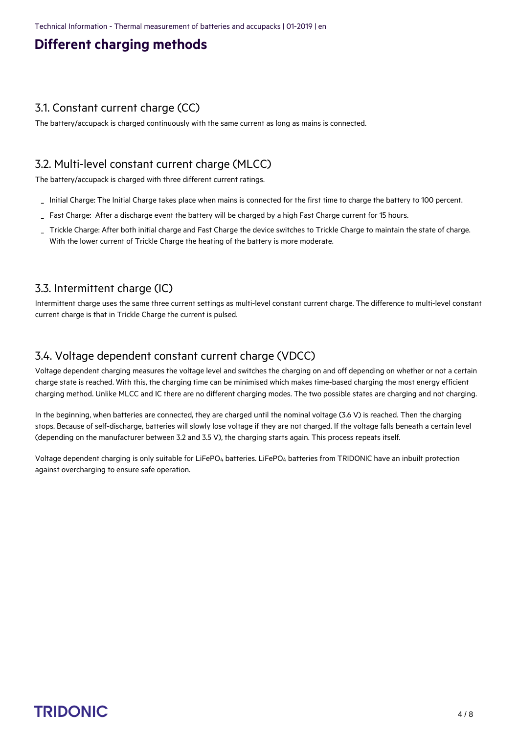## **Different charging methods**

#### <span id="page-3-1"></span><span id="page-3-0"></span>3.1. Constant current charge (CC)

The battery/accupack is charged continuously with the same current as long as mains is connected.

#### <span id="page-3-2"></span>3.2. Multi-level constant current charge (MLCC)

The battery/accupack is charged with three different current ratings.

- \_ Initial Charge: The Initial Charge takes place when mains is connected for the first time to charge the battery to 100 percent.
- Fast Charge: After a discharge event the battery will be charged by a high Fast Charge current for 15 hours.
- Trickle Charge: After both initial charge and Fast Charge the device switches to Trickle Charge to maintain the state of charge. With the lower current of Trickle Charge the heating of the battery is more moderate. \_

#### <span id="page-3-3"></span>3.3. Intermittent charge (IC)

Intermittent charge uses the same three current settings as multi-level constant current charge. The difference to multi-level constant current charge is that in Trickle Charge the current is pulsed.

#### <span id="page-3-4"></span>3.4. Voltage dependent constant current charge (VDCC)

Voltage dependent charging measures the voltage level and switches the charging on and off depending on whether or not a certain charge state is reached. With this, the charging time can be minimised which makes time-based charging the most energy efficient charging method. Unlike MLCC and IC there are no different charging modes. The two possible states are charging and not charging.

In the beginning, when batteries are connected, they are charged until the nominal voltage (3.6 V) is reached. Then the charging stops. Because of self-discharge, batteries will slowly lose voltage if they are not charged. If the voltage falls beneath a certain level (depending on the manufacturer between 3.2 and 3.5 V), the charging starts again. This process repeats itself.

Voltage dependent charging is only suitable for LiFePO4 batteries. LiFePO4 batteries from TRIDONIC have an inbuilt protection against overcharging to ensure safe operation.

# $\begin{array}{ccc}\n\textbf{TRIDONIC} & & & & & & \\
\textbf{TRIDONIC} & & & & & & & \\
\end{array}$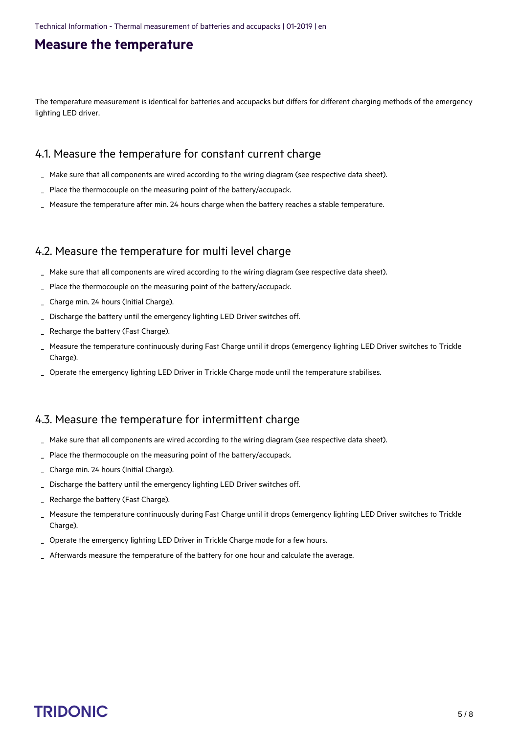### **Measure the temperature**

<span id="page-4-0"></span>The temperature measurement is identical for batteries and accupacks but differs for different charging methods of the emergency lighting LED driver.

### <span id="page-4-1"></span>4.1. Measure the temperature for constant current charge

- Make sure that all components are wired according to the wiring diagram (see respective data sheet).
- Place the thermocouple on the measuring point of the battery/accupack.
- Measure the temperature after min. 24 hours charge when the battery reaches a stable temperature.

#### <span id="page-4-2"></span>4.2. Measure the temperature for multi level charge

- Make sure that all components are wired according to the wiring diagram (see respective data sheet).
- Place the thermocouple on the measuring point of the battery/accupack.
- Charge min. 24 hours (Initial Charge).
- Discharge the battery until the emergency lighting LED Driver switches off.
- Recharge the battery (Fast Charge).
- Measure the temperature continuously during Fast Charge until it drops (emergency lighting LED Driver switches to Trickle Charge). \_
- \_ Operate the emergency lighting LED Driver in Trickle Charge mode until the temperature stabilises.

#### <span id="page-4-3"></span>4.3. Measure the temperature for intermittent charge

- Make sure that all components are wired according to the wiring diagram (see respective data sheet).
- Place the thermocouple on the measuring point of the battery/accupack.
- \_ Charge min. 24 hours (Initial Charge).
- Discharge the battery until the emergency lighting LED Driver switches off.
- Recharge the battery (Fast Charge).
- Measure the temperature continuously during Fast Charge until it drops (emergency lighting LED Driver switches to Trickle Charge). \_
- \_ Operate the emergency lighting LED Driver in Trickle Charge mode for a few hours.
- Afterwards measure the temperature of the battery for one hour and calculate the average.

# $\begin{array}{ccc}\n\hline\n\text{TRIDONIC} & & & & \\
\hline\n\end{array}\n\quad\n\begin{array}{ccc}\n\text{STNIDONIC} & & & \\
\hline\n\end{array}\n\quad\n\begin{array}{ccc}\n\text{STNIDONIC} & & \\
\end{array}$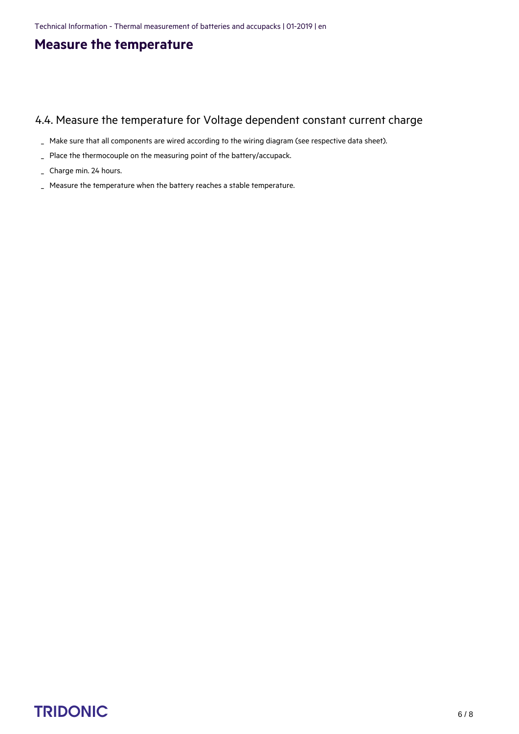## **Measure the temperature**

#### <span id="page-5-0"></span>4.4. Measure the temperature for Voltage dependent constant current charge

- \_ Make sure that all components are wired according to the wiring diagram (see respective data sheet).
- \_ Place the thermocouple on the measuring point of the battery/accupack.
- \_ Charge min. 24 hours.
- \_ Measure the temperature when the battery reaches a stable temperature.

## $\begin{array}{ccc}\n\hline\n\text{TRIDONIC} & & & & & \\
\hline\n\end{array}\n\quad \text{CRIDONIC} \tag{6/8}$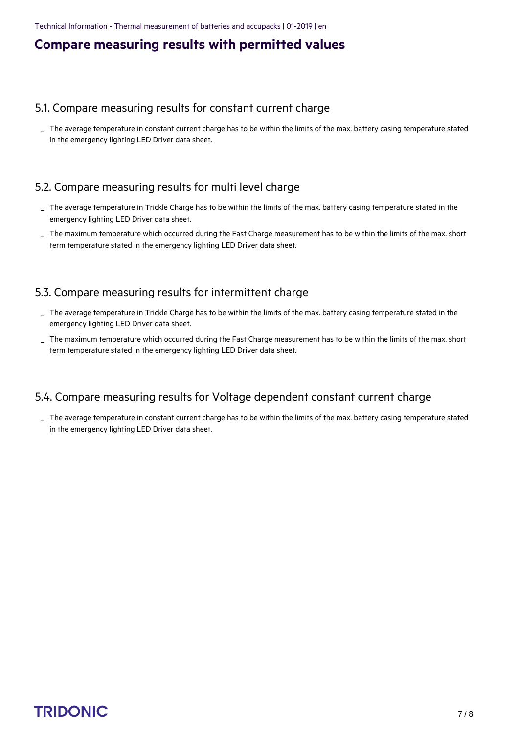### **Compare measuring results with permitted values**

#### <span id="page-6-1"></span><span id="page-6-0"></span>5.1. Compare measuring results for constant current charge

The average temperature in constant current charge has to be within the limits of the max. battery casing temperature stated in the emergency lighting LED Driver data sheet. \_

#### <span id="page-6-2"></span>5.2. Compare measuring results for multi level charge

- The average temperature in Trickle Charge has to be within the limits of the max. battery casing temperature stated in the \_ emergency lighting LED Driver data sheet.
- The maximum temperature which occurred during the Fast Charge measurement has to be within the limits of the max. short term temperature stated in the emergency lighting LED Driver data sheet. \_

#### <span id="page-6-3"></span>5.3. Compare measuring results for intermittent charge

- The average temperature in Trickle Charge has to be within the limits of the max. battery casing temperature stated in the emergency lighting LED Driver data sheet. \_
- The maximum temperature which occurred during the Fast Charge measurement has to be within the limits of the max. short \_ term temperature stated in the emergency lighting LED Driver data sheet.

#### <span id="page-6-4"></span>5.4. Compare measuring results for Voltage dependent constant current charge

The average temperature in constant current charge has to be within the limits of the max. battery casing temperature stated \_in the emergency lighting LED Driver data sheet.

## TRIDONIC TRIDONIC THE STATE OF THE STATE OF THE STATE OF THE STATE OF THE STATE OF THE STATE OF THE STATE OF THE STATE OF THE STATE OF THE STATE OF THE STATE OF THE STATE OF THE STATE OF THE STATE OF THE STATE OF THE STATE